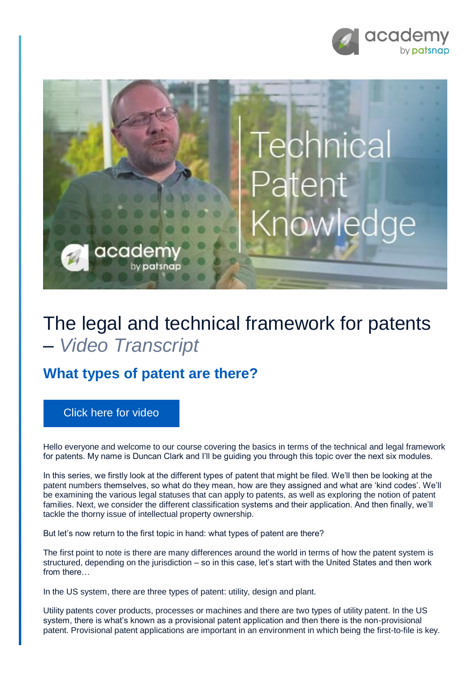



## The legal and technical framework for patents – *Video Transcript*

## **What types of patent are there?**

## [Click here for video](https://academy.patsnap.com/courses/59bf8b7b7066d400129756ce/units/5a462af502989b0014b3d1a8#module-0)

Hello everyone and welcome to our course covering the basics in terms of the technical and legal framework for patents. My name is Duncan Clark and I'll be guiding you through this topic over the next six modules.

In this series, we firstly look at the different types of patent that might be filed. We'll then be looking at the patent numbers themselves, so what do they mean, how are they assigned and what are 'kind codes'. We'll be examining the various legal statuses that can apply to patents, as well as exploring the notion of patent families. Next, we consider the different classification systems and their application. And then finally, we'll tackle the thorny issue of intellectual property ownership.

But let's now return to the first topic in hand: what types of patent are there?

The first point to note is there are many differences around the world in terms of how the patent system is structured, depending on the jurisdiction – so in this case, let's start with the United States and then work from there…

In the US system, there are three types of patent: utility, design and plant.

Utility patents cover products, processes or machines and there are two types of utility patent. In the US system, there is what's known as a provisional patent application and then there is the non-provisional patent. Provisional patent applications are important in an environment in which being the first-to-file is key.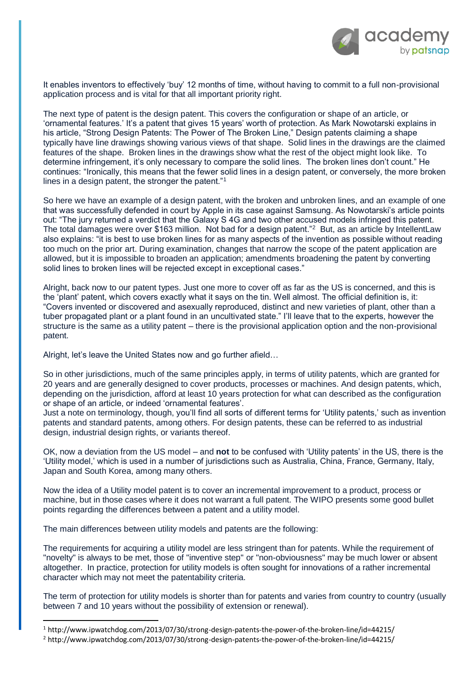

It enables inventors to effectively 'buy' 12 months of time, without having to commit to a full non-provisional application process and is vital for that all important priority right.

The next type of patent is the design patent. This covers the configuration or shape of an article, or 'ornamental features.' It's a patent that gives 15 years' worth of protection. As Mark Nowotarski explains in his article, "Strong Design Patents: The Power of The Broken Line," Design patents claiming a shape typically have line drawings showing various views of that shape. Solid lines in the drawings are the claimed features of the shape. Broken lines in the drawings show what the rest of the object might look like. To determine infringement, it's only necessary to compare the solid lines. The broken lines don't count." He continues: "Ironically, this means that the fewer solid lines in a design patent, or conversely, the more broken lines in a design patent, the stronger the patent."<sup>1</sup>

So here we have an example of a design patent, with the broken and unbroken lines, and an example of one that was successfully defended in court by Apple in its case against Samsung. As Nowotarski's article points out: "The jury returned a verdict that the Galaxy S 4G and two other accused models infringed this patent. The total damages were over \$163 million. Not bad for a design patent."<sup>2</sup> But, as an article by IntellentLaw also explains: "it is best to use broken lines for as many aspects of the invention as possible without reading too much on the prior art. During examination, changes that narrow the scope of the patent application are allowed, but it is impossible to broaden an application; amendments broadening the patent by converting solid lines to broken lines will be rejected except in exceptional cases."

Alright, back now to our patent types. Just one more to cover off as far as the US is concerned, and this is the 'plant' patent, which covers exactly what it says on the tin. Well almost. The official definition is, it: "Covers invented or discovered and asexually reproduced, distinct and new varieties of plant, other than a tuber propagated plant or a plant found in an uncultivated state." I'll leave that to the experts, however the structure is the same as a utility patent – there is the provisional application option and the non-provisional patent.

Alright, let's leave the United States now and go further afield…

So in other jurisdictions, much of the same principles apply, in terms of utility patents, which are granted for 20 years and are generally designed to cover products, processes or machines. And design patents, which, depending on the jurisdiction, afford at least 10 years protection for what can described as the configuration or shape of an article, or indeed 'ornamental features'.

Just a note on terminology, though, you'll find all sorts of different terms for 'Utility patents,' such as invention patents and standard patents, among others. For design patents, these can be referred to as industrial design, industrial design rights, or variants thereof.

OK, now a deviation from the US model – and **not** to be confused with 'Utility patents' in the US, there is the 'Utility model,' which is used in a number of jurisdictions such as Australia, China, France, Germany, Italy, Japan and South Korea, among many others.

Now the idea of a Utility model patent is to cover an incremental improvement to a product, process or machine, but in those cases where it does not warrant a full patent. The WIPO presents some good bullet points regarding the differences between a patent and a utility model.

The main differences between utility models and patents are the following:

**.** 

The requirements for acquiring a utility model are less stringent than for patents. While the requirement of "novelty" is always to be met, those of "inventive step" or "non-obviousness" may be much lower or absent altogether. In practice, protection for utility models is often sought for innovations of a rather incremental character which may not meet the patentability criteria.

The term of protection for utility models is shorter than for patents and varies from country to country (usually between 7 and 10 years without the possibility of extension or renewal).

<sup>1</sup> http://www.ipwatchdog.com/2013/07/30/strong-design-patents-the-power-of-the-broken-line/id=44215/

<sup>2</sup> http://www.ipwatchdog.com/2013/07/30/strong-design-patents-the-power-of-the-broken-line/id=44215/